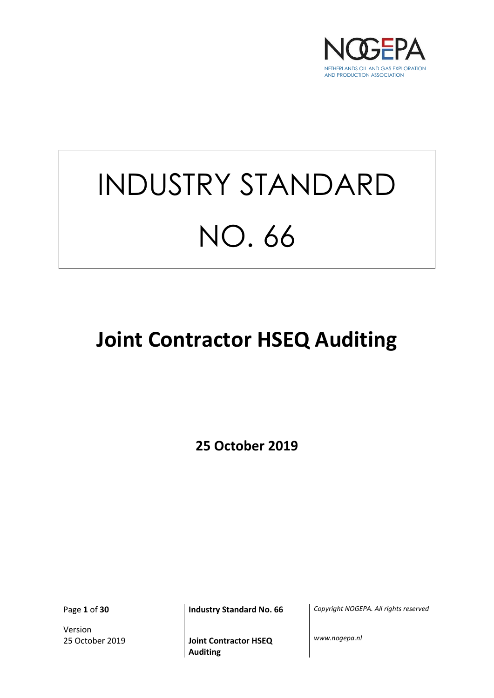

# INDUSTRY STANDARD NO. 66

## **Joint Contractor HSEQ Auditing**

**25 October 2019**

Version

Page **1** of **30 Industry Standard No. 66** *Copyright NOGEPA. All rights reserved*

25 October 2019 **Joint Contractor HSEQ Auditing**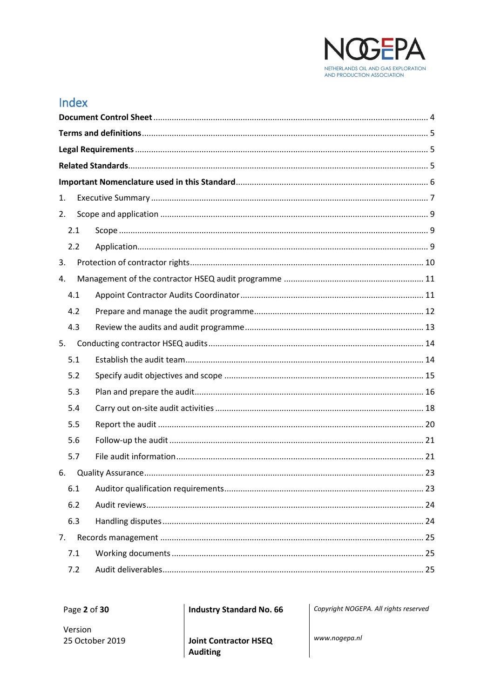

## Index

| 1.  |  |  |
|-----|--|--|
| 2.  |  |  |
| 2.1 |  |  |
| 2.2 |  |  |
| 3.  |  |  |
| 4.  |  |  |
| 4.1 |  |  |
| 4.2 |  |  |
| 4.3 |  |  |
| 5.  |  |  |
| 5.1 |  |  |
| 5.2 |  |  |
| 5.3 |  |  |
| 5.4 |  |  |
| 5.5 |  |  |
| 5.6 |  |  |
| 5.7 |  |  |
| 6.  |  |  |
| 6.1 |  |  |
| 6.2 |  |  |
| 6.3 |  |  |
| 7.  |  |  |
| 7.1 |  |  |
| 7.2 |  |  |

Page 2 of 30

**Industry Standard No. 66** 

Copyright NOGEPA. All rights reserved

Version 25 October 2019

**Joint Contractor HSEQ Auditing**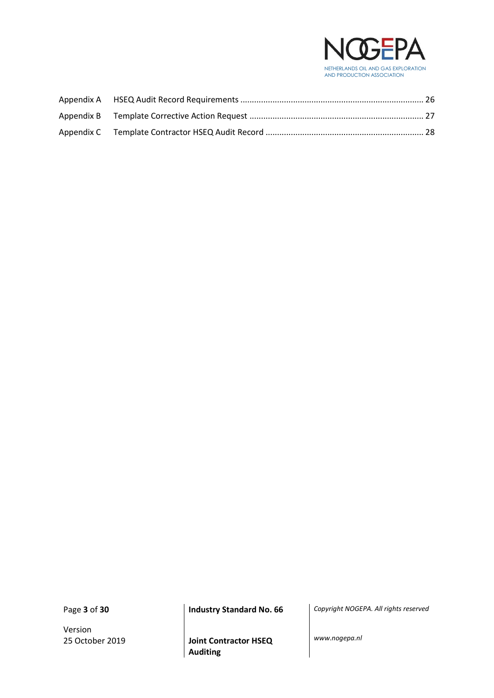

Version

Page **3** of **30 Industry Standard No. 66** *Copyright NOGEPA. All rights reserved*

25 October 2019 **Joint Contractor HSEQ Auditing**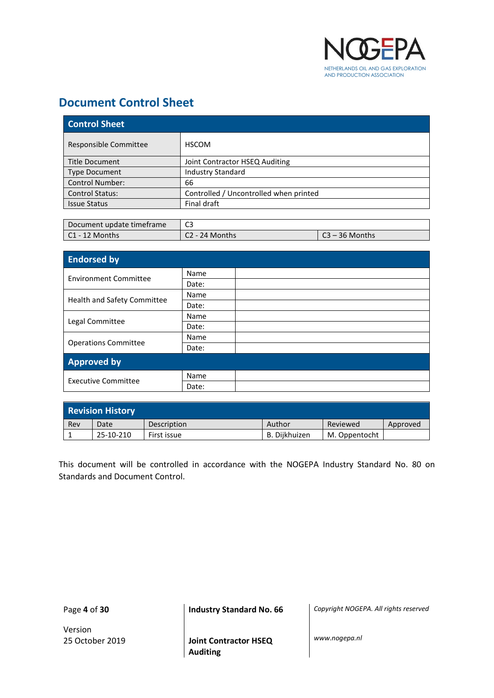

## <span id="page-3-0"></span>**Document Control Sheet**

| <b>Control Sheet</b>   |                                        |  |  |  |  |
|------------------------|----------------------------------------|--|--|--|--|
| Responsible Committee  | <b>HSCOM</b>                           |  |  |  |  |
| Title Document         | Joint Contractor HSEQ Auditing         |  |  |  |  |
| <b>Type Document</b>   | <b>Industry Standard</b>               |  |  |  |  |
| <b>Control Number:</b> | 66                                     |  |  |  |  |
| <b>Control Status:</b> | Controlled / Uncontrolled when printed |  |  |  |  |
| <b>Issue Status</b>    | Final draft                            |  |  |  |  |

| Document update timeframe | C3             |                |
|---------------------------|----------------|----------------|
| l C1 - 12 Months          | C2 - 24 Months | C3 – 36 Months |

| <b>Endorsed by</b>           |       |  |  |  |
|------------------------------|-------|--|--|--|
| <b>Environment Committee</b> | Name  |  |  |  |
|                              | Date: |  |  |  |
|                              | Name  |  |  |  |
| Health and Safety Committee  | Date: |  |  |  |
|                              | Name  |  |  |  |
| Legal Committee              | Date: |  |  |  |
|                              | Name  |  |  |  |
| <b>Operations Committee</b>  | Date: |  |  |  |
| <b>Approved by</b>           |       |  |  |  |
|                              | Name  |  |  |  |
| <b>Executive Committee</b>   | Date: |  |  |  |

| <b>Revision History</b> |           |             |               |               |          |  |  |  |
|-------------------------|-----------|-------------|---------------|---------------|----------|--|--|--|
| Rev                     | Date      | Description | Author        | Reviewed      | Approved |  |  |  |
|                         | 25-10-210 | First issue | B. Diikhuizen | M. Oppentocht |          |  |  |  |

This document will be controlled in accordance with the NOGEPA Industry Standard No. 80 on Standards and Document Control.

Version

Page **4** of **30 Industry Standard No. 66** *Copyright NOGEPA. All rights reserved*

25 October 2019 **Joint Contractor HSEQ Auditing**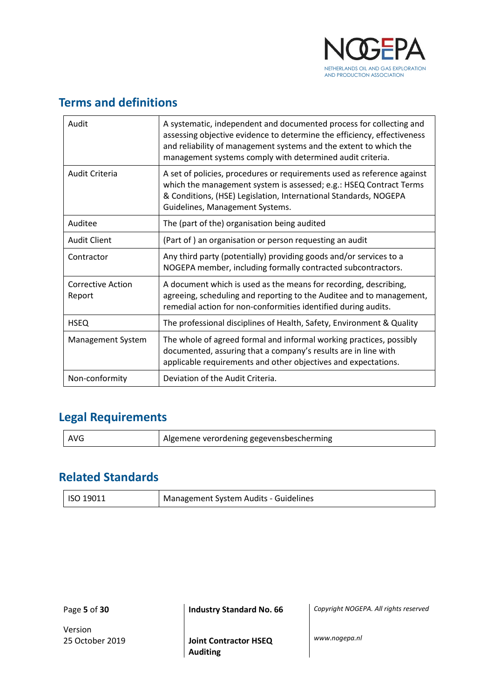

## <span id="page-4-0"></span>**Terms and definitions**

| Audit                       | A systematic, independent and documented process for collecting and<br>assessing objective evidence to determine the efficiency, effectiveness<br>and reliability of management systems and the extent to which the<br>management systems comply with determined audit criteria. |  |  |  |
|-----------------------------|----------------------------------------------------------------------------------------------------------------------------------------------------------------------------------------------------------------------------------------------------------------------------------|--|--|--|
| Audit Criteria              | A set of policies, procedures or requirements used as reference against<br>which the management system is assessed; e.g.: HSEQ Contract Terms<br>& Conditions, (HSE) Legislation, International Standards, NOGEPA<br>Guidelines, Management Systems.                             |  |  |  |
| Auditee                     | The (part of the) organisation being audited                                                                                                                                                                                                                                     |  |  |  |
| <b>Audit Client</b>         | (Part of) an organisation or person requesting an audit                                                                                                                                                                                                                          |  |  |  |
| Contractor                  | Any third party (potentially) providing goods and/or services to a<br>NOGEPA member, including formally contracted subcontractors.                                                                                                                                               |  |  |  |
| Corrective Action<br>Report | A document which is used as the means for recording, describing,<br>agreeing, scheduling and reporting to the Auditee and to management,<br>remedial action for non-conformities identified during audits.                                                                       |  |  |  |
| <b>HSEQ</b>                 | The professional disciplines of Health, Safety, Environment & Quality                                                                                                                                                                                                            |  |  |  |
| Management System           | The whole of agreed formal and informal working practices, possibly<br>documented, assuring that a company's results are in line with<br>applicable requirements and other objectives and expectations.                                                                          |  |  |  |
| Non-conformity              | Deviation of the Audit Criteria.                                                                                                                                                                                                                                                 |  |  |  |

## <span id="page-4-1"></span>**Legal Requirements**

| AVG | Algemene verordening gegevensbescherming |
|-----|------------------------------------------|
|-----|------------------------------------------|

## <span id="page-4-2"></span>**Related Standards**

| <b>ISO 19011</b> | Management System Audits - Guidelines |
|------------------|---------------------------------------|
|                  |                                       |

Page **5** of **30 Industry Standard No. 66** *Copyright NOGEPA. All rights reserved*

Version

25 October 2019 **Joint Contractor HSEQ Auditing**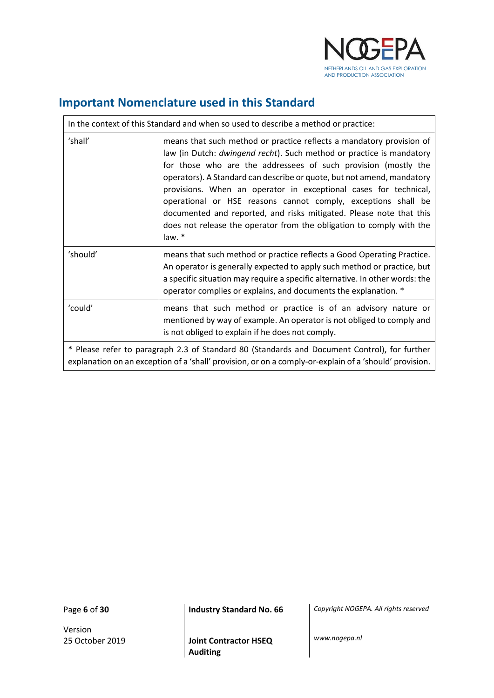

## <span id="page-5-0"></span>**Important Nomenclature used in this Standard**

|                                                                                                                                                                                                        | In the context of this Standard and when so used to describe a method or practice:                                                                                                                                                                                                                                                                                                                                                                                                                                                                                                     |  |  |  |  |  |
|--------------------------------------------------------------------------------------------------------------------------------------------------------------------------------------------------------|----------------------------------------------------------------------------------------------------------------------------------------------------------------------------------------------------------------------------------------------------------------------------------------------------------------------------------------------------------------------------------------------------------------------------------------------------------------------------------------------------------------------------------------------------------------------------------------|--|--|--|--|--|
| 'shall'                                                                                                                                                                                                | means that such method or practice reflects a mandatory provision of<br>law (in Dutch: dwingend recht). Such method or practice is mandatory<br>for those who are the addressees of such provision (mostly the<br>operators). A Standard can describe or quote, but not amend, mandatory<br>provisions. When an operator in exceptional cases for technical,<br>operational or HSE reasons cannot comply, exceptions shall be<br>documented and reported, and risks mitigated. Please note that this<br>does not release the operator from the obligation to comply with the<br>law. * |  |  |  |  |  |
| 'should'                                                                                                                                                                                               | means that such method or practice reflects a Good Operating Practice.<br>An operator is generally expected to apply such method or practice, but<br>a specific situation may require a specific alternative. In other words: the<br>operator complies or explains, and documents the explanation. *                                                                                                                                                                                                                                                                                   |  |  |  |  |  |
| 'could'                                                                                                                                                                                                | means that such method or practice is of an advisory nature or<br>mentioned by way of example. An operator is not obliged to comply and<br>is not obliged to explain if he does not comply.                                                                                                                                                                                                                                                                                                                                                                                            |  |  |  |  |  |
| * Please refer to paragraph 2.3 of Standard 80 (Standards and Document Control), for further<br>explanation on an exception of a 'shall' provision, or on a comply-or-explain of a 'should' provision. |                                                                                                                                                                                                                                                                                                                                                                                                                                                                                                                                                                                        |  |  |  |  |  |

 $\mathbf{r}$ 

Version

Page **6** of **30 Industry Standard No. 66** *Copyright NOGEPA. All rights reserved*

25 October 2019 **Joint Contractor HSEQ Auditing**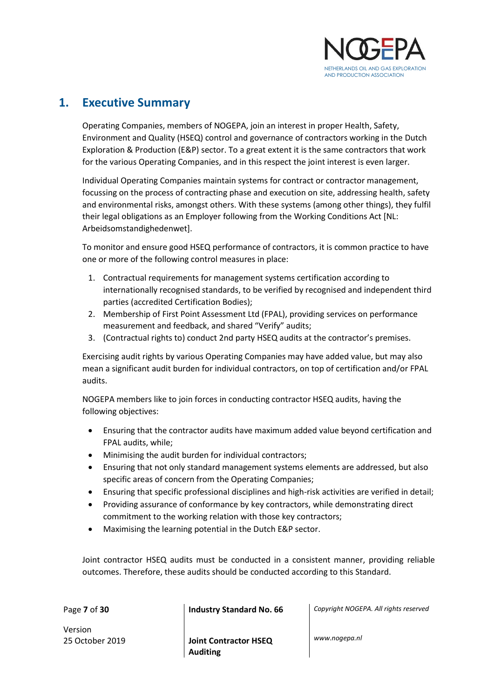

## <span id="page-6-0"></span>**1. Executive Summary**

Operating Companies, members of NOGEPA, join an interest in proper Health, Safety, Environment and Quality (HSEQ) control and governance of contractors working in the Dutch Exploration & Production (E&P) sector. To a great extent it is the same contractors that work for the various Operating Companies, and in this respect the joint interest is even larger.

Individual Operating Companies maintain systems for contract or contractor management, focussing on the process of contracting phase and execution on site, addressing health, safety and environmental risks, amongst others. With these systems (among other things), they fulfil their legal obligations as an Employer following from the Working Conditions Act [NL: Arbeidsomstandighedenwet].

To monitor and ensure good HSEQ performance of contractors, it is common practice to have one or more of the following control measures in place:

- 1. Contractual requirements for management systems certification according to internationally recognised standards, to be verified by recognised and independent third parties (accredited Certification Bodies);
- 2. Membership of First Point Assessment Ltd (FPAL), providing services on performance measurement and feedback, and shared "Verify" audits;
- 3. (Contractual rights to) conduct 2nd party HSEQ audits at the contractor's premises.

Exercising audit rights by various Operating Companies may have added value, but may also mean a significant audit burden for individual contractors, on top of certification and/or FPAL audits.

NOGEPA members like to join forces in conducting contractor HSEQ audits, having the following objectives:

- Ensuring that the contractor audits have maximum added value beyond certification and FPAL audits, while;
- Minimising the audit burden for individual contractors;
- Ensuring that not only standard management systems elements are addressed, but also specific areas of concern from the Operating Companies;
- Ensuring that specific professional disciplines and high-risk activities are verified in detail;
- Providing assurance of conformance by key contractors, while demonstrating direct commitment to the working relation with those key contractors;
- Maximising the learning potential in the Dutch E&P sector.

Joint contractor HSEQ audits must be conducted in a consistent manner, providing reliable outcomes. Therefore, these audits should be conducted according to this Standard.

Version

25 October 2019 **Joint Contractor HSEQ Auditing**

Page **7** of **30 Industry Standard No. 66** *Copyright NOGEPA. All rights reserved*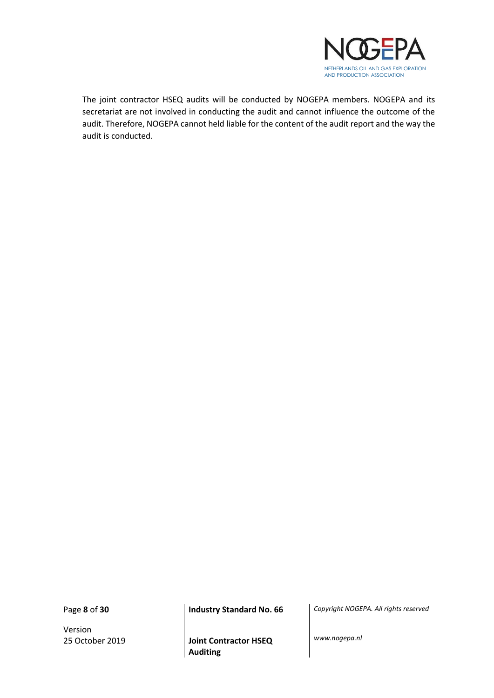

The joint contractor HSEQ audits will be conducted by NOGEPA members. NOGEPA and its secretariat are not involved in conducting the audit and cannot influence the outcome of the audit. Therefore, NOGEPA cannot held liable for the content of the audit report and the way the audit is conducted.

Version

Page **8** of **30 Industry Standard No. 66** *Copyright NOGEPA. All rights reserved*

25 October 2019 **Joint Contractor HSEQ Auditing**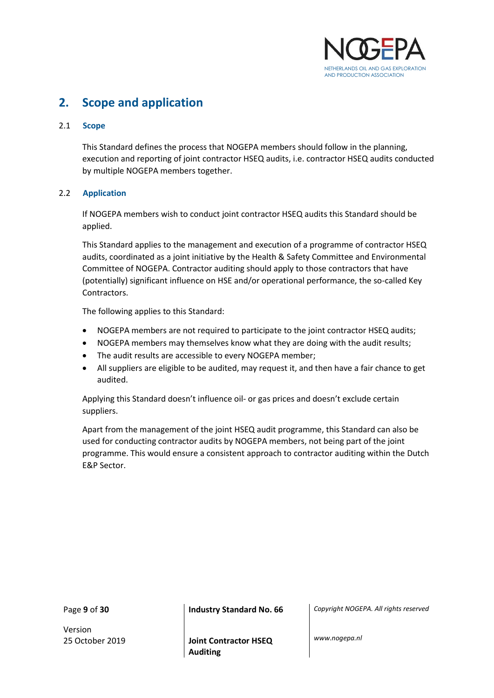

## <span id="page-8-0"></span>**2. Scope and application**

#### <span id="page-8-1"></span>2.1 **Scope**

This Standard defines the process that NOGEPA members should follow in the planning, execution and reporting of joint contractor HSEQ audits, i.e. contractor HSEQ audits conducted by multiple NOGEPA members together.

#### <span id="page-8-2"></span>2.2 **Application**

If NOGEPA members wish to conduct joint contractor HSEQ audits this Standard should be applied.

This Standard applies to the management and execution of a programme of contractor HSEQ audits, coordinated as a joint initiative by the Health & Safety Committee and Environmental Committee of NOGEPA. Contractor auditing should apply to those contractors that have (potentially) significant influence on HSE and/or operational performance, the so-called Key Contractors.

The following applies to this Standard:

- NOGEPA members are not required to participate to the joint contractor HSEQ audits;
- NOGEPA members may themselves know what they are doing with the audit results;
- The audit results are accessible to every NOGEPA member;
- All suppliers are eligible to be audited, may request it, and then have a fair chance to get audited.

Applying this Standard doesn't influence oil- or gas prices and doesn't exclude certain suppliers.

Apart from the management of the joint HSEQ audit programme, this Standard can also be used for conducting contractor audits by NOGEPA members, not being part of the joint programme. This would ensure a consistent approach to contractor auditing within the Dutch E&P Sector.

Version

Page **9** of **30 Industry Standard No. 66** *Copyright NOGEPA. All rights reserved*

25 October 2019 **Joint Contractor HSEQ Auditing**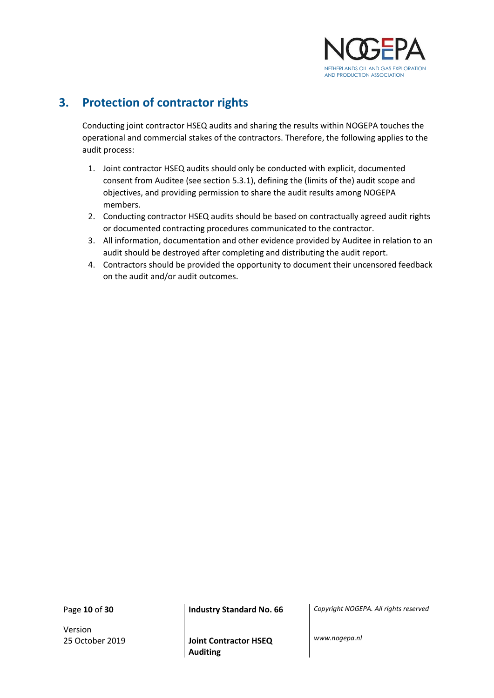

## <span id="page-9-0"></span>**3. Protection of contractor rights**

Conducting joint contractor HSEQ audits and sharing the results within NOGEPA touches the operational and commercial stakes of the contractors. Therefore, the following applies to the audit process:

- 1. Joint contractor HSEQ audits should only be conducted with explicit, documented consent from Auditee (see section 5.3.1), defining the (limits of the) audit scope and objectives, and providing permission to share the audit results among NOGEPA members.
- 2. Conducting contractor HSEQ audits should be based on contractually agreed audit rights or documented contracting procedures communicated to the contractor.
- 3. All information, documentation and other evidence provided by Auditee in relation to an audit should be destroyed after completing and distributing the audit report.
- 4. Contractors should be provided the opportunity to document their uncensored feedback on the audit and/or audit outcomes.

Version

Page **10** of **30 Industry Standard No. 66** *Copyright NOGEPA. All rights reserved*

25 October 2019 **Joint Contractor HSEQ Auditing**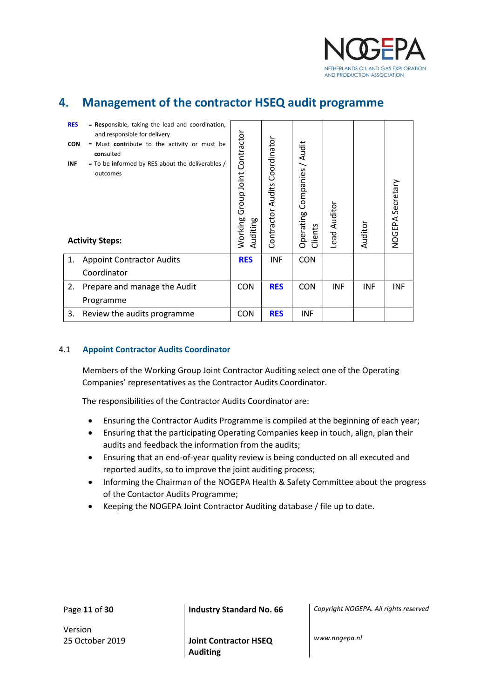

## <span id="page-10-0"></span>**4. Management of the contractor HSEQ audit programme**

| <b>RES</b><br><b>INF</b> | = Responsible, taking the lead and coordination,<br>and responsible for delivery<br><b>CON</b><br>= Must contribute to the activity or must be<br>consulted<br>= To be informed by RES about the deliverables /<br>outcomes<br><b>Activity Steps:</b> |            | Coordinator<br>Contractor Audits | Companies / Audit<br>Operating<br>Clients | Lead Auditor | Auditor    | NOGEPA Secretary |
|--------------------------|-------------------------------------------------------------------------------------------------------------------------------------------------------------------------------------------------------------------------------------------------------|------------|----------------------------------|-------------------------------------------|--------------|------------|------------------|
| 1.                       | <b>Appoint Contractor Audits</b>                                                                                                                                                                                                                      | <b>RES</b> | <b>INF</b>                       | <b>CON</b>                                |              |            |                  |
|                          | Coordinator                                                                                                                                                                                                                                           |            |                                  |                                           |              |            |                  |
| 2.                       | Prepare and manage the Audit                                                                                                                                                                                                                          | <b>CON</b> | <b>RES</b>                       | <b>CON</b>                                | <b>INF</b>   | <b>INF</b> | <b>INF</b>       |
|                          | Programme                                                                                                                                                                                                                                             |            |                                  |                                           |              |            |                  |
| 3.                       | Review the audits programme                                                                                                                                                                                                                           | <b>CON</b> | <b>RES</b>                       | <b>INF</b>                                |              |            |                  |

#### <span id="page-10-1"></span>4.1 **Appoint Contractor Audits Coordinator**

Members of the Working Group Joint Contractor Auditing select one of the Operating Companies' representatives as the Contractor Audits Coordinator.

The responsibilities of the Contractor Audits Coordinator are:

- Ensuring the Contractor Audits Programme is compiled at the beginning of each year;
- Ensuring that the participating Operating Companies keep in touch, align, plan their audits and feedback the information from the audits;
- Ensuring that an end-of-year quality review is being conducted on all executed and reported audits, so to improve the joint auditing process;
- Informing the Chairman of the NOGEPA Health & Safety Committee about the progress of the Contactor Audits Programme;
- Keeping the NOGEPA Joint Contractor Auditing database / file up to date.

Version

Page **11** of **30 Industry Standard No. 66** *Copyright NOGEPA. All rights reserved*

25 October 2019 **Joint Contractor HSEQ Auditing**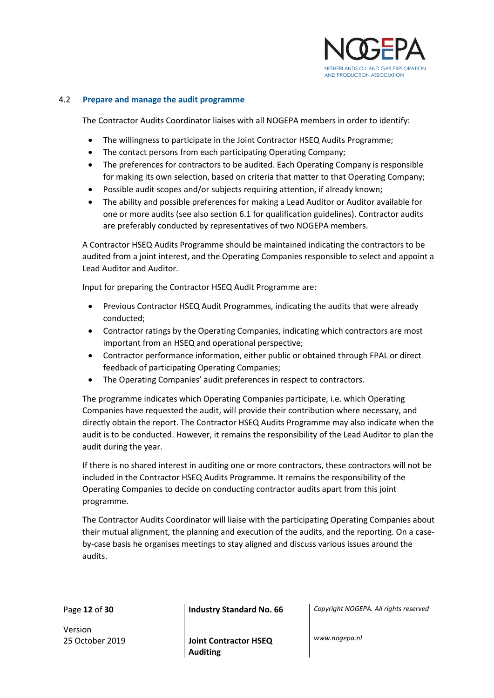

#### <span id="page-11-0"></span>4.2 **Prepare and manage the audit programme**

The Contractor Audits Coordinator liaises with all NOGEPA members in order to identify:

- The willingness to participate in the Joint Contractor HSEQ Audits Programme;
- The contact persons from each participating Operating Company;
- The preferences for contractors to be audited. Each Operating Company is responsible for making its own selection, based on criteria that matter to that Operating Company;
- Possible audit scopes and/or subjects requiring attention, if already known;
- The ability and possible preferences for making a Lead Auditor or Auditor available for one or more audits (see also section 6.1 for qualification guidelines). Contractor audits are preferably conducted by representatives of two NOGEPA members.

A Contractor HSEQ Audits Programme should be maintained indicating the contractors to be audited from a joint interest, and the Operating Companies responsible to select and appoint a Lead Auditor and Auditor.

Input for preparing the Contractor HSEQ Audit Programme are:

- Previous Contractor HSEQ Audit Programmes, indicating the audits that were already conducted;
- Contractor ratings by the Operating Companies, indicating which contractors are most important from an HSEQ and operational perspective;
- Contractor performance information, either public or obtained through FPAL or direct feedback of participating Operating Companies;
- The Operating Companies' audit preferences in respect to contractors.

The programme indicates which Operating Companies participate, i.e. which Operating Companies have requested the audit, will provide their contribution where necessary, and directly obtain the report. The Contractor HSEQ Audits Programme may also indicate when the audit is to be conducted. However, it remains the responsibility of the Lead Auditor to plan the audit during the year.

If there is no shared interest in auditing one or more contractors, these contractors will not be included in the Contractor HSEQ Audits Programme. It remains the responsibility of the Operating Companies to decide on conducting contractor audits apart from this joint programme.

The Contractor Audits Coordinator will liaise with the participating Operating Companies about their mutual alignment, the planning and execution of the audits, and the reporting. On a caseby-case basis he organises meetings to stay aligned and discuss various issues around the audits.

Page **12** of **30 Industry Standard No. 66** *Copyright NOGEPA. All rights reserved*

Version

25 October 2019 **Joint Contractor HSEQ Auditing**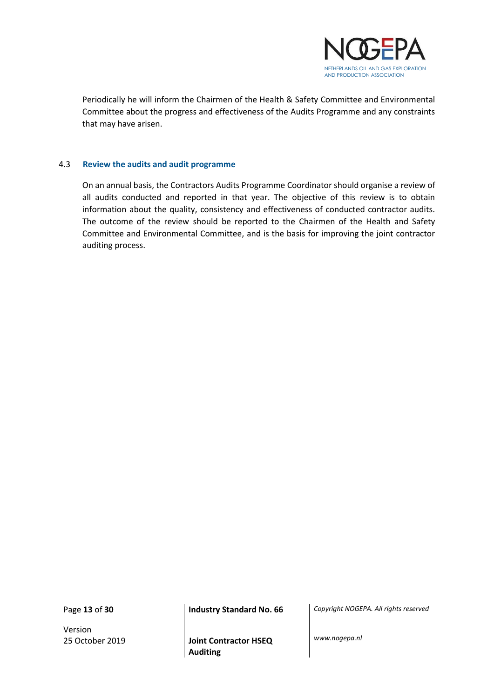

Periodically he will inform the Chairmen of the Health & Safety Committee and Environmental Committee about the progress and effectiveness of the Audits Programme and any constraints that may have arisen.

#### <span id="page-12-0"></span>4.3 **Review the audits and audit programme**

On an annual basis, the Contractors Audits Programme Coordinator should organise a review of all audits conducted and reported in that year. The objective of this review is to obtain information about the quality, consistency and effectiveness of conducted contractor audits. The outcome of the review should be reported to the Chairmen of the Health and Safety Committee and Environmental Committee, and is the basis for improving the joint contractor auditing process.

Version

Page **13** of **30 Industry Standard No. 66** *Copyright NOGEPA. All rights reserved*

25 October 2019 **Joint Contractor HSEQ Auditing**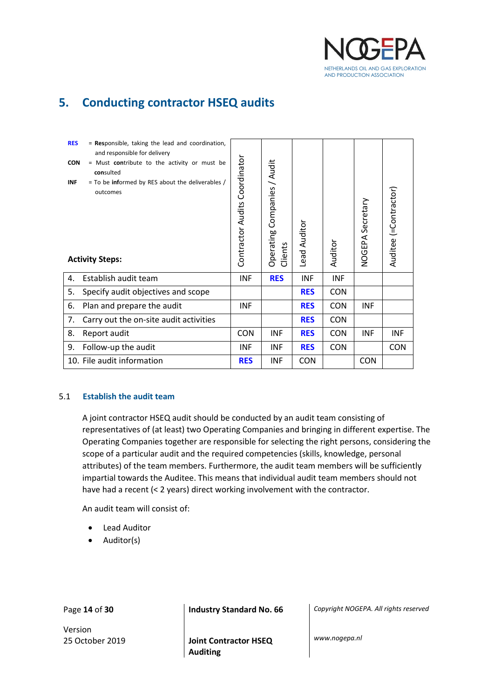

## <span id="page-13-0"></span>**5. Conducting contractor HSEQ audits**

| <b>RES</b><br>$=$ Responsible, taking the lead and coordination,<br>and responsible for delivery<br><b>CON</b><br>= Must contribute to the activity or must be<br>consulted<br>$=$ To be informed by RES about the deliverables /<br><b>INF</b><br>outcomes |                                        | Contractor Audits Coordinator | Companies / Audit<br>Operating | Lead Auditor |            | NOGEPA Secretary | Auditee (=Contractor) |
|-------------------------------------------------------------------------------------------------------------------------------------------------------------------------------------------------------------------------------------------------------------|----------------------------------------|-------------------------------|--------------------------------|--------------|------------|------------------|-----------------------|
| <b>Activity Steps:</b>                                                                                                                                                                                                                                      |                                        |                               | Clients                        |              | Auditor    |                  |                       |
| 4.                                                                                                                                                                                                                                                          | Establish audit team                   | <b>INF</b>                    | <b>RES</b>                     | <b>INF</b>   | <b>INF</b> |                  |                       |
| 5.                                                                                                                                                                                                                                                          | Specify audit objectives and scope     |                               |                                | <b>RES</b>   | <b>CON</b> |                  |                       |
| 6.                                                                                                                                                                                                                                                          | Plan and prepare the audit             | <b>INF</b>                    |                                | <b>RES</b>   | <b>CON</b> | <b>INF</b>       |                       |
| 7.                                                                                                                                                                                                                                                          | Carry out the on-site audit activities |                               |                                | <b>RES</b>   | <b>CON</b> |                  |                       |
| 8.                                                                                                                                                                                                                                                          | Report audit                           | <b>CON</b>                    | INF                            | <b>RES</b>   | <b>CON</b> | <b>INF</b>       | INF                   |
| 9.                                                                                                                                                                                                                                                          | Follow-up the audit                    | <b>INF</b>                    | <b>INF</b>                     | <b>RES</b>   | <b>CON</b> |                  | <b>CON</b>            |
|                                                                                                                                                                                                                                                             | 10. File audit information             | <b>RES</b>                    | INF                            | <b>CON</b>   |            | <b>CON</b>       |                       |

#### <span id="page-13-1"></span>5.1 **Establish the audit team**

A joint contractor HSEQ audit should be conducted by an audit team consisting of representatives of (at least) two Operating Companies and bringing in different expertise. The Operating Companies together are responsible for selecting the right persons, considering the scope of a particular audit and the required competencies (skills, knowledge, personal attributes) of the team members. Furthermore, the audit team members will be sufficiently impartial towards the Auditee. This means that individual audit team members should not have had a recent (< 2 years) direct working involvement with the contractor.

An audit team will consist of:

- **Lead Auditor**
- Auditor(s)

Version

Page **14** of **30 Industry Standard No. 66** *Copyright NOGEPA. All rights reserved*

25 October 2019 **Joint Contractor HSEQ Auditing**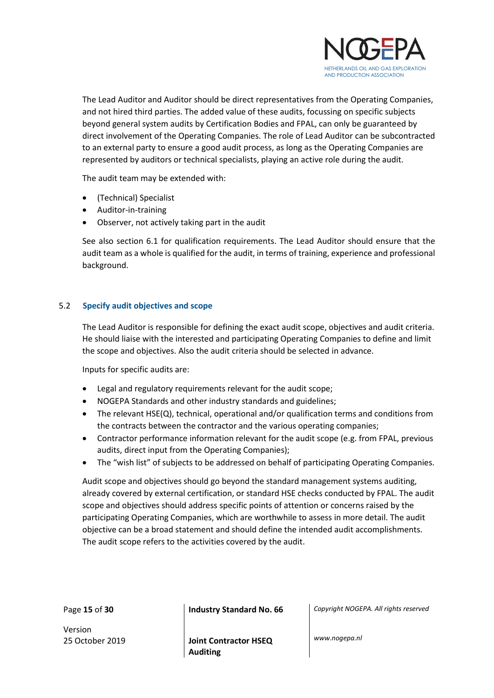

The Lead Auditor and Auditor should be direct representatives from the Operating Companies, and not hired third parties. The added value of these audits, focussing on specific subjects beyond general system audits by Certification Bodies and FPAL, can only be guaranteed by direct involvement of the Operating Companies. The role of Lead Auditor can be subcontracted to an external party to ensure a good audit process, as long as the Operating Companies are represented by auditors or technical specialists, playing an active role during the audit.

The audit team may be extended with:

- (Technical) Specialist
- Auditor-in-training
- Observer, not actively taking part in the audit

See also section 6.1 for qualification requirements. The Lead Auditor should ensure that the audit team as a whole is qualified for the audit, in terms of training, experience and professional background.

#### <span id="page-14-0"></span>5.2 **Specify audit objectives and scope**

The Lead Auditor is responsible for defining the exact audit scope, objectives and audit criteria. He should liaise with the interested and participating Operating Companies to define and limit the scope and objectives. Also the audit criteria should be selected in advance.

Inputs for specific audits are:

- Legal and regulatory requirements relevant for the audit scope;
- NOGEPA Standards and other industry standards and guidelines;
- The relevant HSE(Q), technical, operational and/or qualification terms and conditions from the contracts between the contractor and the various operating companies;
- Contractor performance information relevant for the audit scope (e.g. from FPAL, previous audits, direct input from the Operating Companies);
- The "wish list" of subjects to be addressed on behalf of participating Operating Companies.

Audit scope and objectives should go beyond the standard management systems auditing, already covered by external certification, or standard HSE checks conducted by FPAL. The audit scope and objectives should address specific points of attention or concerns raised by the participating Operating Companies, which are worthwhile to assess in more detail. The audit objective can be a broad statement and should define the intended audit accomplishments. The audit scope refers to the activities covered by the audit.

Page **15** of **30 Industry Standard No. 66** *Copyright NOGEPA. All rights reserved*

Version

25 October 2019 **Joint Contractor HSEQ Auditing**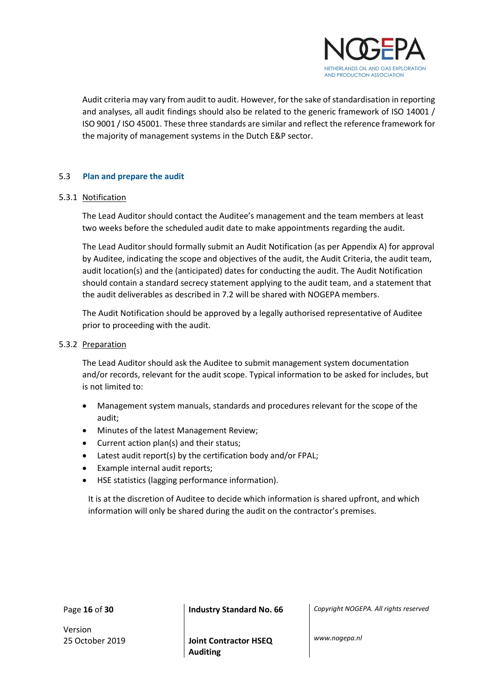

Audit criteria may vary from audit to audit. However, for the sake of standardisation in reporting and analyses, all audit findings should also be related to the generic framework of ISO 14001 / ISO 9001 / ISO 45001. These three standards are similar and reflect the reference framework for the majority of management systems in the Dutch E&P sector.

#### <span id="page-15-0"></span>5.3 **Plan and prepare the audit**

#### 5.3.1 Notification

The Lead Auditor should contact the Auditee's management and the team members at least two weeks before the scheduled audit date to make appointments regarding the audit.

The Lead Auditor should formally submit an Audit Notification (as per Appendix A) for approval by Auditee, indicating the scope and objectives of the audit, the Audit Criteria, the audit team, audit location(s) and the (anticipated) dates for conducting the audit. The Audit Notification should contain a standard secrecy statement applying to the audit team, and a statement that the audit deliverables as described in 7.2 will be shared with NOGEPA members.

The Audit Notification should be approved by a legally authorised representative of Auditee prior to proceeding with the audit.

#### 5.3.2 Preparation

The Lead Auditor should ask the Auditee to submit management system documentation and/or records, relevant for the audit scope. Typical information to be asked for includes, but is not limited to:

- Management system manuals, standards and procedures relevant for the scope of the audit;
- Minutes of the latest Management Review;
- Current action plan(s) and their status;
- Latest audit report(s) by the certification body and/or FPAL;
- Example internal audit reports;
- HSE statistics (lagging performance information).

It is at the discretion of Auditee to decide which information is shared upfront, and which information will only be shared during the audit on the contractor's premises.

Page **16** of **30 Industry Standard No. 66** *Copyright NOGEPA. All rights reserved*

Version

25 October 2019 **Joint Contractor HSEQ Auditing**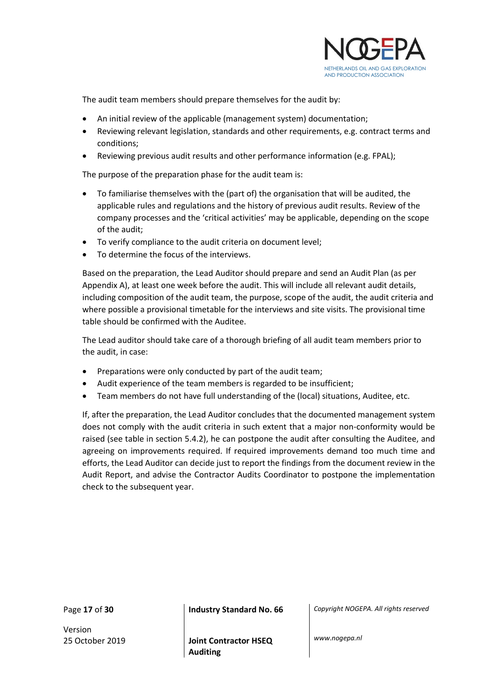

The audit team members should prepare themselves for the audit by:

- An initial review of the applicable (management system) documentation;
- Reviewing relevant legislation, standards and other requirements, e.g. contract terms and conditions;
- Reviewing previous audit results and other performance information (e.g. FPAL);

The purpose of the preparation phase for the audit team is:

- To familiarise themselves with the (part of) the organisation that will be audited, the applicable rules and regulations and the history of previous audit results. Review of the company processes and the 'critical activities' may be applicable, depending on the scope of the audit;
- To verify compliance to the audit criteria on document level;
- To determine the focus of the interviews.

Based on the preparation, the Lead Auditor should prepare and send an Audit Plan (as per Appendix A), at least one week before the audit. This will include all relevant audit details, including composition of the audit team, the purpose, scope of the audit, the audit criteria and where possible a provisional timetable for the interviews and site visits. The provisional time table should be confirmed with the Auditee.

The Lead auditor should take care of a thorough briefing of all audit team members prior to the audit, in case:

- Preparations were only conducted by part of the audit team;
- Audit experience of the team members is regarded to be insufficient;
- Team members do not have full understanding of the (local) situations, Auditee, etc.

If, after the preparation, the Lead Auditor concludes that the documented management system does not comply with the audit criteria in such extent that a major non-conformity would be raised (see table in section 5.4.2), he can postpone the audit after consulting the Auditee, and agreeing on improvements required. If required improvements demand too much time and efforts, the Lead Auditor can decide just to report the findings from the document review in the Audit Report, and advise the Contractor Audits Coordinator to postpone the implementation check to the subsequent year.

Version

Page **17** of **30 Industry Standard No. 66** *Copyright NOGEPA. All rights reserved*

25 October 2019 **Joint Contractor HSEQ Auditing**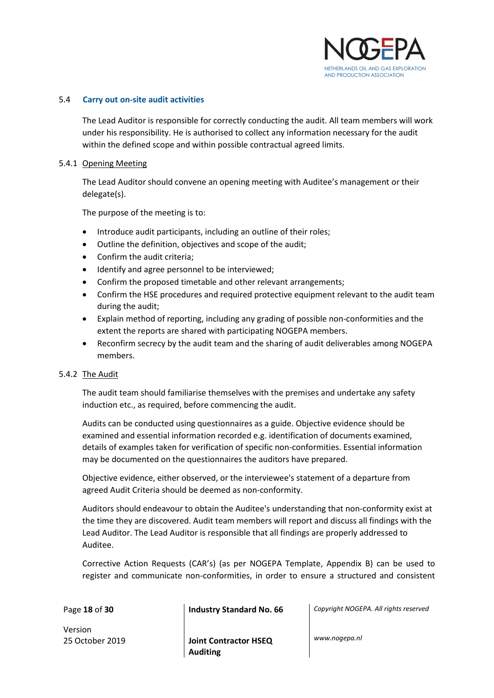

#### <span id="page-17-0"></span>5.4 **Carry out on-site audit activities**

The Lead Auditor is responsible for correctly conducting the audit. All team members will work under his responsibility. He is authorised to collect any information necessary for the audit within the defined scope and within possible contractual agreed limits.

#### 5.4.1 Opening Meeting

The Lead Auditor should convene an opening meeting with Auditee's management or their delegate(s).

The purpose of the meeting is to:

- Introduce audit participants, including an outline of their roles;
- Outline the definition, objectives and scope of the audit;
- Confirm the audit criteria;
- Identify and agree personnel to be interviewed;
- Confirm the proposed timetable and other relevant arrangements;
- Confirm the HSE procedures and required protective equipment relevant to the audit team during the audit;
- Explain method of reporting, including any grading of possible non-conformities and the extent the reports are shared with participating NOGEPA members.
- Reconfirm secrecy by the audit team and the sharing of audit deliverables among NOGEPA members.

#### 5.4.2 The Audit

The audit team should familiarise themselves with the premises and undertake any safety induction etc., as required, before commencing the audit.

Audits can be conducted using questionnaires as a guide. Objective evidence should be examined and essential information recorded e.g. identification of documents examined, details of examples taken for verification of specific non-conformities. Essential information may be documented on the questionnaires the auditors have prepared.

Objective evidence, either observed, or the interviewee's statement of a departure from agreed Audit Criteria should be deemed as non-conformity.

Auditors should endeavour to obtain the Auditee's understanding that non-conformity exist at the time they are discovered. Audit team members will report and discuss all findings with the Lead Auditor. The Lead Auditor is responsible that all findings are properly addressed to Auditee.

Corrective Action Requests (CAR's) (as per NOGEPA Template, Appendix B) can be used to register and communicate non-conformities, in order to ensure a structured and consistent

Version 25 October 2019 **Joint Contractor HSEQ** 

**Auditing**

Page **18** of **30 Industry Standard No. 66** *Copyright NOGEPA. All rights reserved*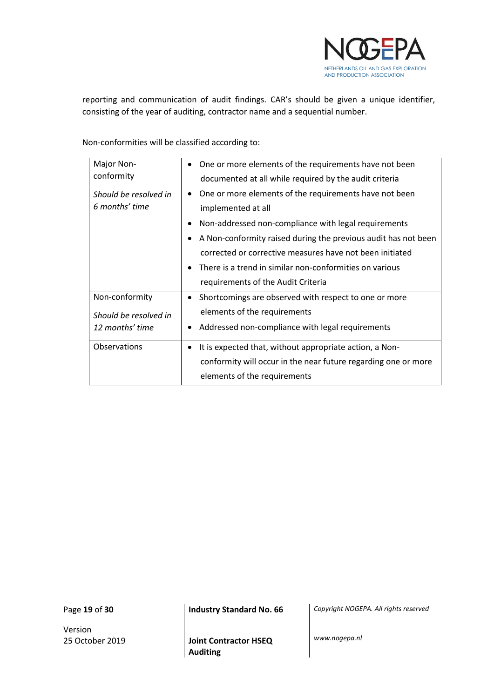

reporting and communication of audit findings. CAR's should be given a unique identifier, consisting of the year of auditing, contractor name and a sequential number.

Non-conformities will be classified according to:

| Major Non-            | One or more elements of the requirements have not been<br>٠                 |
|-----------------------|-----------------------------------------------------------------------------|
| conformity            | documented at all while required by the audit criteria                      |
| Should be resolved in | One or more elements of the requirements have not been<br>$\bullet$         |
| 6 months' time        | implemented at all                                                          |
|                       | Non-addressed non-compliance with legal requirements<br>٠                   |
|                       | A Non-conformity raised during the previous audit has not been<br>$\bullet$ |
|                       | corrected or corrective measures have not been initiated                    |
|                       | There is a trend in similar non-conformities on various<br>$\bullet$        |
|                       | requirements of the Audit Criteria                                          |
| Non-conformity        | Shortcomings are observed with respect to one or more<br>$\bullet$          |
| Should be resolved in | elements of the requirements                                                |
| 12 months' time       | Addressed non-compliance with legal requirements<br>$\bullet$               |
| Observations          | It is expected that, without appropriate action, a Non-<br>٠                |
|                       | conformity will occur in the near future regarding one or more              |
|                       | elements of the requirements                                                |

Version

Page **19** of **30 Industry Standard No. 66** *Copyright NOGEPA. All rights reserved*

25 October 2019 **Joint Contractor HSEQ Auditing**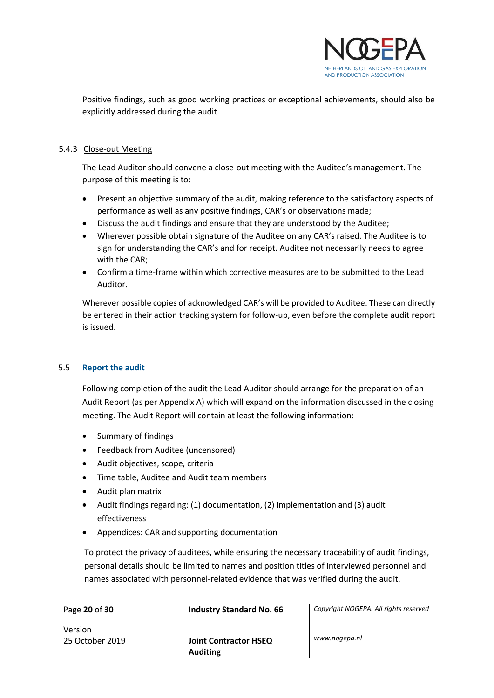

Positive findings, such as good working practices or exceptional achievements, should also be explicitly addressed during the audit.

#### 5.4.3 Close-out Meeting

The Lead Auditor should convene a close-out meeting with the Auditee's management. The purpose of this meeting is to:

- Present an objective summary of the audit, making reference to the satisfactory aspects of performance as well as any positive findings, CAR's or observations made;
- Discuss the audit findings and ensure that they are understood by the Auditee;
- Wherever possible obtain signature of the Auditee on any CAR's raised. The Auditee is to sign for understanding the CAR's and for receipt. Auditee not necessarily needs to agree with the CAR;
- Confirm a time-frame within which corrective measures are to be submitted to the Lead Auditor.

Wherever possible copies of acknowledged CAR's will be provided to Auditee. These can directly be entered in their action tracking system for follow-up, even before the complete audit report is issued.

#### <span id="page-19-0"></span>5.5 **Report the audit**

Following completion of the audit the Lead Auditor should arrange for the preparation of an Audit Report (as per Appendix A) which will expand on the information discussed in the closing meeting. The Audit Report will contain at least the following information:

- Summary of findings
- Feedback from Auditee (uncensored)
- Audit objectives, scope, criteria
- Time table, Auditee and Audit team members
- Audit plan matrix
- Audit findings regarding: (1) documentation, (2) implementation and (3) audit effectiveness
- Appendices: CAR and supporting documentation

To protect the privacy of auditees, while ensuring the necessary traceability of audit findings, personal details should be limited to names and position titles of interviewed personnel and names associated with personnel-related evidence that was verified during the audit.

Version

25 October 2019 **Joint Contractor HSEQ Auditing**

Page **20** of **30 Industry Standard No. 66** *Copyright NOGEPA. All rights reserved*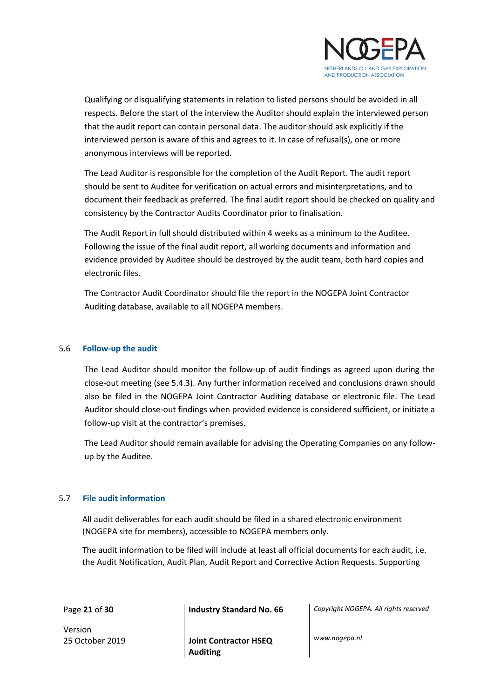

Qualifying or disqualifying statements in relation to listed persons should be avoided in all respects. Before the start of the interview the Auditor should explain the interviewed person that the audit report can contain personal data. The auditor should ask explicitly if the interviewed person is aware of this and agrees to it. In case of refusal(s), one or more anonymous interviews will be reported.

The Lead Auditor is responsible for the completion of the Audit Report. The audit report should be sent to Auditee for verification on actual errors and misinterpretations, and to document their feedback as preferred. The final audit report should be checked on quality and consistency by the Contractor Audits Coordinator prior to finalisation.

The Audit Report in full should distributed within 4 weeks as a minimum to the Auditee. Following the issue of the final audit report, all working documents and information and evidence provided by Auditee should be destroyed by the audit team, both hard copies and electronic files.

The Contractor Audit Coordinator should file the report in the NOGEPA Joint Contractor Auditing database, available to all NOGEPA members.

#### <span id="page-20-0"></span>5.6 **Follow-up the audit**

The Lead Auditor should monitor the follow-up of audit findings as agreed upon during the close-out meeting (see 5.4.3). Any further information received and conclusions drawn should also be filed in the NOGEPA Joint Contractor Auditing database or electronic file. The Lead Auditor should close-out findings when provided evidence is considered sufficient, or initiate a follow-up visit at the contractor's premises.

The Lead Auditor should remain available for advising the Operating Companies on any followup by the Auditee.

#### <span id="page-20-1"></span>5.7 **File audit information**

All audit deliverables for each audit should be filed in a shared electronic environment (NOGEPA site for members), accessible to NOGEPA members only.

The audit information to be filed will include at least all official documents for each audit, i.e. the Audit Notification, Audit Plan, Audit Report and Corrective Action Requests. Supporting

Version

Page **21** of **30 Industry Standard No. 66** *Copyright NOGEPA. All rights reserved*

25 October 2019 **Joint Contractor HSEQ Auditing**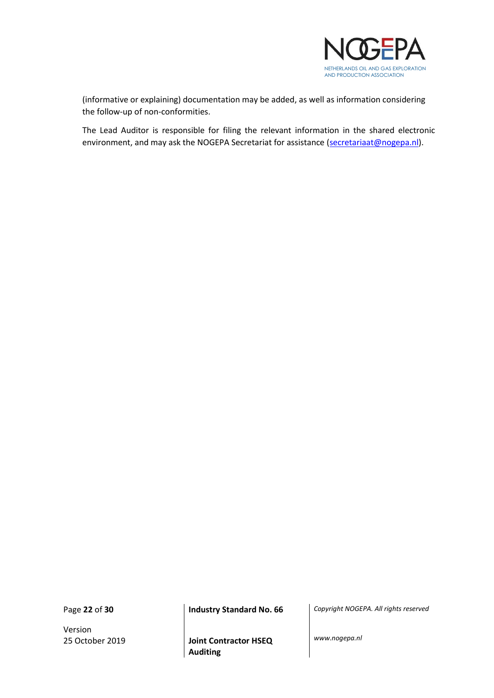

(informative or explaining) documentation may be added, as well as information considering the follow-up of non-conformities.

The Lead Auditor is responsible for filing the relevant information in the shared electronic environment, and may ask the NOGEPA Secretariat for assistance (secretariaat@nogepa.nl).

Version

Page **22** of **30 Industry Standard No. 66** *Copyright NOGEPA. All rights reserved*

25 October 2019 **Joint Contractor HSEQ Auditing**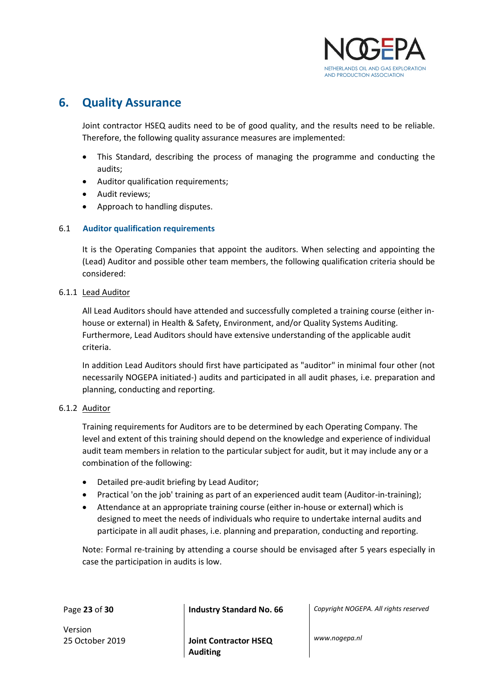

## <span id="page-22-0"></span>**6. Quality Assurance**

Joint contractor HSEQ audits need to be of good quality, and the results need to be reliable. Therefore, the following quality assurance measures are implemented:

- This Standard, describing the process of managing the programme and conducting the audits;
- Auditor qualification requirements;
- Audit reviews;
- Approach to handling disputes.

#### <span id="page-22-1"></span>6.1 **Auditor qualification requirements**

It is the Operating Companies that appoint the auditors. When selecting and appointing the (Lead) Auditor and possible other team members, the following qualification criteria should be considered:

#### 6.1.1 Lead Auditor

All Lead Auditors should have attended and successfully completed a training course (either inhouse or external) in Health & Safety, Environment, and/or Quality Systems Auditing. Furthermore, Lead Auditors should have extensive understanding of the applicable audit criteria.

In addition Lead Auditors should first have participated as "auditor" in minimal four other (not necessarily NOGEPA initiated-) audits and participated in all audit phases, i.e. preparation and planning, conducting and reporting.

#### 6.1.2 Auditor

Training requirements for Auditors are to be determined by each Operating Company. The level and extent of this training should depend on the knowledge and experience of individual audit team members in relation to the particular subject for audit, but it may include any or a combination of the following:

- Detailed pre-audit briefing by Lead Auditor;
- Practical 'on the job' training as part of an experienced audit team (Auditor-in-training);
- Attendance at an appropriate training course (either in-house or external) which is designed to meet the needs of individuals who require to undertake internal audits and participate in all audit phases, i.e. planning and preparation, conducting and reporting.

Note: Formal re-training by attending a course should be envisaged after 5 years especially in case the participation in audits is low.

Version

25 October 2019 **Joint Contractor HSEQ Auditing**

Page **23** of **30 Industry Standard No. 66** *Copyright NOGEPA. All rights reserved*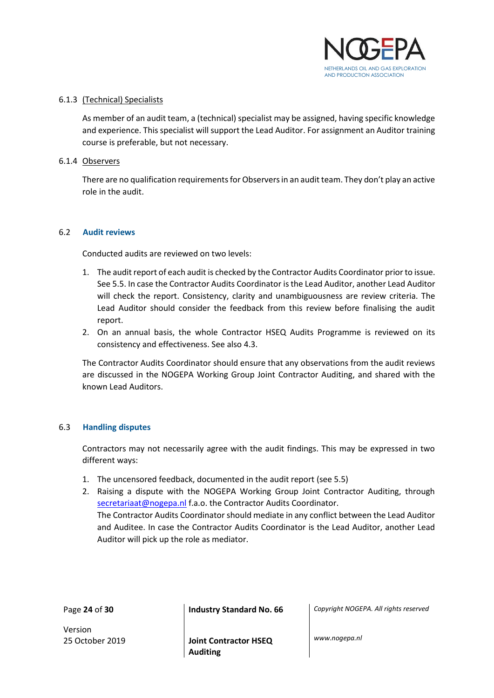

#### 6.1.3 (Technical) Specialists

As member of an audit team, a (technical) specialist may be assigned, having specific knowledge and experience. This specialist will support the Lead Auditor. For assignment an Auditor training course is preferable, but not necessary.

#### 6.1.4 Observers

There are no qualification requirements for Observers in an audit team. They don't play an active role in the audit.

#### <span id="page-23-0"></span>6.2 **Audit reviews**

Conducted audits are reviewed on two levels:

- 1. The audit report of each audit is checked by the Contractor Audits Coordinator prior to issue. See 5.5. In case the Contractor Audits Coordinator is the Lead Auditor, another Lead Auditor will check the report. Consistency, clarity and unambiguousness are review criteria. The Lead Auditor should consider the feedback from this review before finalising the audit report.
- 2. On an annual basis, the whole Contractor HSEQ Audits Programme is reviewed on its consistency and effectiveness. See also 4.3.

The Contractor Audits Coordinator should ensure that any observations from the audit reviews are discussed in the NOGEPA Working Group Joint Contractor Auditing, and shared with the known Lead Auditors.

#### <span id="page-23-1"></span>6.3 **Handling disputes**

Contractors may not necessarily agree with the audit findings. This may be expressed in two different ways:

- 1. The uncensored feedback, documented in the audit report (see 5.5)
- 2. Raising a dispute with the NOGEPA Working Group Joint Contractor Auditing, through secretariaat@nogepa.nl f.a.o. the Contractor Audits Coordinator.

The Contractor Audits Coordinator should mediate in any conflict between the Lead Auditor and Auditee. In case the Contractor Audits Coordinator is the Lead Auditor, another Lead Auditor will pick up the role as mediator.

Page **24** of **30 Industry Standard No. 66** *Copyright NOGEPA. All rights reserved*

Version

25 October 2019 **Joint Contractor HSEQ Auditing**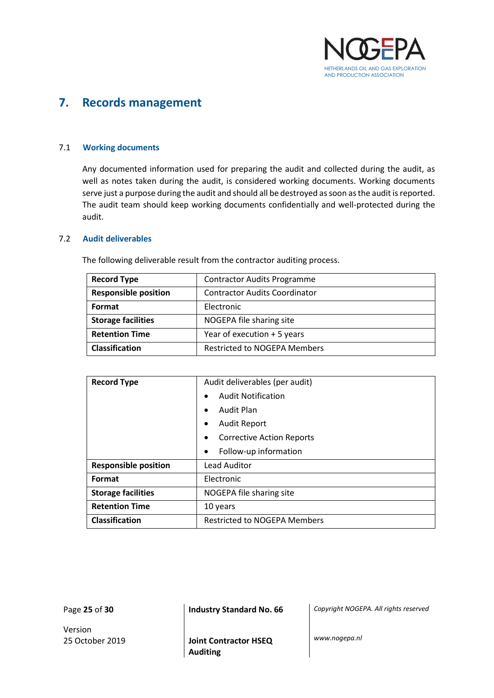

## <span id="page-24-0"></span>**7. Records management**

#### <span id="page-24-1"></span>7.1 **Working documents**

Any documented information used for preparing the audit and collected during the audit, as well as notes taken during the audit, is considered working documents. Working documents serve just a purpose during the audit and should all be destroyed as soon as the audit is reported. The audit team should keep working documents confidentially and well-protected during the audit.

#### <span id="page-24-2"></span>7.2 **Audit deliverables**

| <b>Record Type</b>          | <b>Contractor Audits Programme</b>   |
|-----------------------------|--------------------------------------|
| <b>Responsible position</b> | <b>Contractor Audits Coordinator</b> |
| Format                      | Electronic                           |
| <b>Storage facilities</b>   | NOGEPA file sharing site             |
| <b>Retention Time</b>       | Year of execution + 5 years          |
| <b>Classification</b>       | <b>Restricted to NOGEPA Members</b>  |

The following deliverable result from the contractor auditing process.

| <b>Record Type</b>          | Audit deliverables (per audit)         |  |  |
|-----------------------------|----------------------------------------|--|--|
|                             | <b>Audit Notification</b><br>$\bullet$ |  |  |
|                             | Audit Plan<br>$\bullet$                |  |  |
|                             | <b>Audit Report</b><br>$\bullet$       |  |  |
|                             | Corrective Action Reports<br>$\bullet$ |  |  |
|                             | Follow-up information<br>$\bullet$     |  |  |
| <b>Responsible position</b> | <b>Lead Auditor</b>                    |  |  |
| Format                      | Electronic                             |  |  |
| <b>Storage facilities</b>   | NOGEPA file sharing site               |  |  |
| <b>Retention Time</b>       | 10 years                               |  |  |
| Classification              | <b>Restricted to NOGEPA Members</b>    |  |  |

Version

Page **25** of **30 Industry Standard No. 66** *Copyright NOGEPA. All rights reserved*

25 October 2019 **Joint Contractor HSEQ Auditing**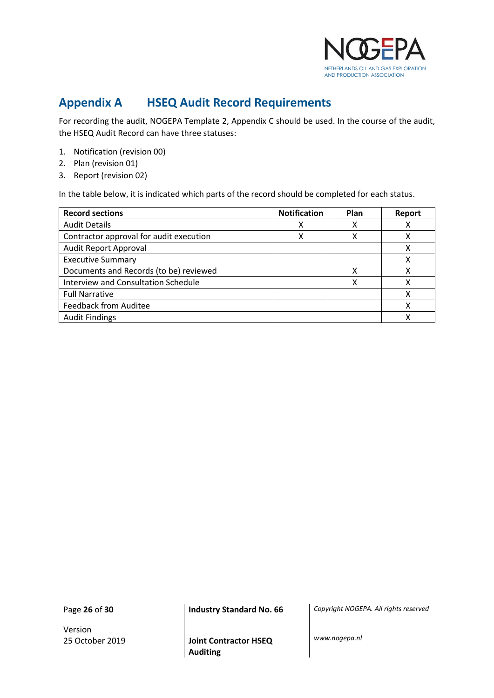

## <span id="page-25-0"></span>**Appendix A HSEQ Audit Record Requirements**

For recording the audit, NOGEPA Template 2, Appendix C should be used. In the course of the audit, the HSEQ Audit Record can have three statuses:

- 1. Notification (revision 00)
- 2. Plan (revision 01)
- 3. Report (revision 02)

In the table below, it is indicated which parts of the record should be completed for each status.

| <b>Record sections</b>                  | <b>Notification</b> | Plan | Report |
|-----------------------------------------|---------------------|------|--------|
| <b>Audit Details</b>                    |                     |      |        |
| Contractor approval for audit execution |                     |      |        |
| Audit Report Approval                   |                     |      |        |
| <b>Executive Summary</b>                |                     |      |        |
| Documents and Records (to be) reviewed  |                     |      |        |
| Interview and Consultation Schedule     |                     |      |        |
| <b>Full Narrative</b>                   |                     |      |        |
| <b>Feedback from Auditee</b>            |                     |      |        |
| <b>Audit Findings</b>                   |                     |      |        |

Version

Page **26** of **30 Industry Standard No. 66** *Copyright NOGEPA. All rights reserved*

25 October 2019 **Joint Contractor HSEQ Auditing**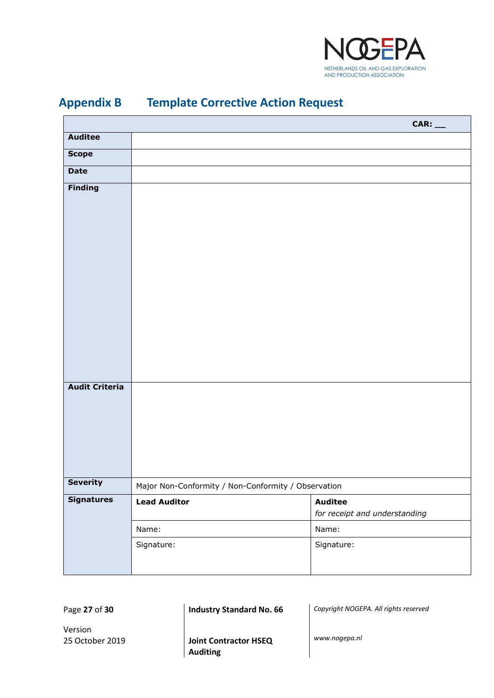

| <b>Auditee</b>        |                                                     |                                                 |
|-----------------------|-----------------------------------------------------|-------------------------------------------------|
| <b>Scope</b>          |                                                     |                                                 |
| <b>Date</b>           |                                                     |                                                 |
| <b>Finding</b>        |                                                     |                                                 |
|                       |                                                     |                                                 |
|                       |                                                     |                                                 |
|                       |                                                     |                                                 |
|                       |                                                     |                                                 |
|                       |                                                     |                                                 |
|                       |                                                     |                                                 |
|                       |                                                     |                                                 |
|                       |                                                     |                                                 |
|                       |                                                     |                                                 |
|                       |                                                     |                                                 |
|                       |                                                     |                                                 |
| <b>Audit Criteria</b> |                                                     |                                                 |
|                       |                                                     |                                                 |
|                       |                                                     |                                                 |
|                       |                                                     |                                                 |
|                       |                                                     |                                                 |
|                       |                                                     |                                                 |
| Severity              | Major Non-Conformity / Non-Conformity / Observation |                                                 |
| <b>Signatures</b>     | <b>Lead Auditor</b>                                 | <b>Auditee</b><br>for receipt and understanding |
|                       | Name:                                               | Name:                                           |
|                       | Signature:                                          | Signature:                                      |
|                       |                                                     |                                                 |
|                       |                                                     |                                                 |

## <span id="page-26-0"></span>**Appendix B Template Corrective Action Request**

Page **27** of **30 Industry Standard No. 66** *Copyright NOGEPA. All rights reserved*

Version

25 October 2019 **Joint Contractor HSEQ Auditing**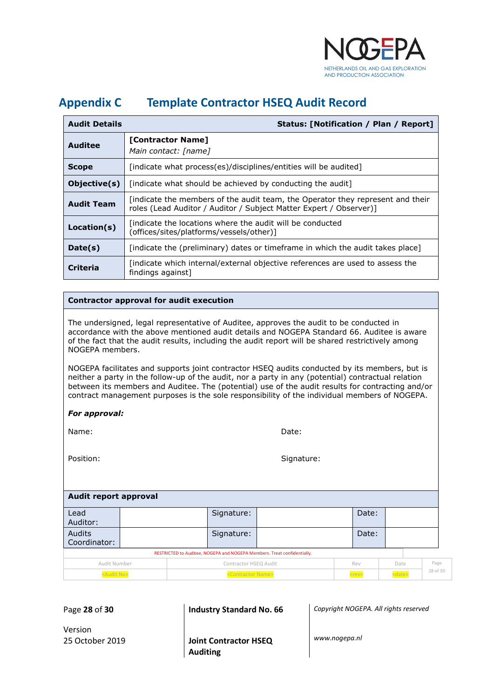

## <span id="page-27-0"></span>**Appendix C Template Contractor HSEQ Audit Record**

| <b>Audit Details</b> | Status: [Notification / Plan / Report]                                                                                                              |
|----------------------|-----------------------------------------------------------------------------------------------------------------------------------------------------|
| Auditee              | [Contractor Name]<br>Main contact: [name]                                                                                                           |
| <b>Scope</b>         | [indicate what process(es)/disciplines/entities will be audited]                                                                                    |
| Objective(s)         | [indicate what should be achieved by conducting the audit]                                                                                          |
| <b>Audit Team</b>    | findicate the members of the audit team, the Operator they represent and their<br>roles (Lead Auditor / Auditor / Subject Matter Expert / Observer) |
| Location(s)          | findicate the locations where the audit will be conducted<br>(offices/sites/platforms/vessels/other)]                                               |
| Date(s)              | [indicate the (preliminary) dates or timeframe in which the audit takes place]                                                                      |
| Criteria             | [indicate which internal/external objective references are used to assess the<br>findings against]                                                  |

#### **Contractor approval for audit execution**

The undersigned, legal representative of Auditee, approves the audit to be conducted in accordance with the above mentioned audit details and NOGEPA Standard 66. Auditee is aware of the fact that the audit results, including the audit report will be shared restrictively among NOGEPA members.

NOGEPA facilitates and supports joint contractor HSEQ audits conducted by its members, but is neither a party in the follow-up of the audit, nor a party in any (potential) contractual relation between its members and Auditee. The (potential) use of the audit results for contracting and/or contract management purposes is the sole responsibility of the individual members of NOGEPA.

| For approval: |
|---------------|
|---------------|

Name: **Name:** Date: **Date:** Date: **Date: Date: Date: Date: Date: Date: Date: Date: Date: Date: Date: Date: Date: Date: Date: Date: Date: Date: Date: Date: Date: Date: Date: Dat** 

Position:

#### **Audit report approval**

| Lead                                                                    |  | Signature:                                                                                |  | Date: |                          |          |
|-------------------------------------------------------------------------|--|-------------------------------------------------------------------------------------------|--|-------|--------------------------|----------|
| Auditor:                                                                |  |                                                                                           |  |       |                          |          |
| Audits<br>Coordinator:                                                  |  | Signature:                                                                                |  | Date: |                          |          |
| RESTRICTED to Auditee, NOGEPA and NOGEPA Members. Treat confidentially. |  |                                                                                           |  |       |                          |          |
| Audit Number                                                            |  | Contractor HSEQ Audit                                                                     |  | Rev   | Date                     | Page     |
| <b>Contract Contract Contract Contract Contract</b>                     |  | the control of the control of the control of the control of the control of the control of |  |       | <b>Contract Contract</b> | 28 of 30 |

<Audit No> <contractor Name> <contractor Name> <contractor Name> <contractor Name> <contractor Name> <contractor Name> <contractor Name> <contractor Name> <contractor Name> <contractor Name> <contractor Name> <contractor N

Page **28** of **30 Industry Standard No. 66** *Copyright NOGEPA. All rights reserved*

Version

25 October 2019 **Joint Contractor HSEQ Auditing**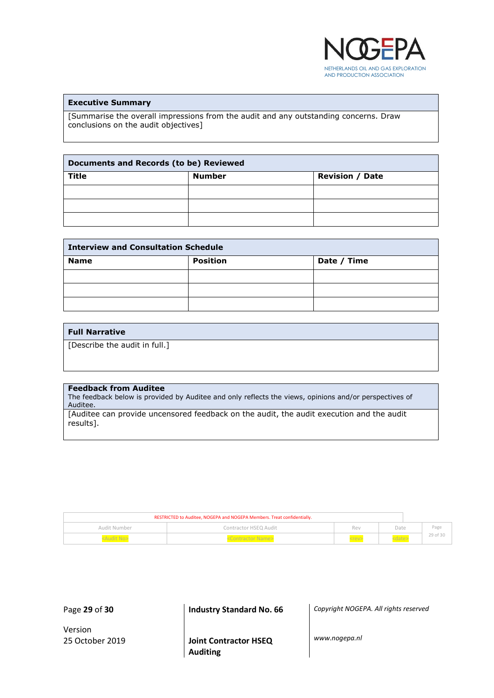

#### **Executive Summary**

[Summarise the overall impressions from the audit and any outstanding concerns. Draw conclusions on the audit objectives]

| <b>Documents and Records (to be) Reviewed</b> |               |                        |  |
|-----------------------------------------------|---------------|------------------------|--|
| <b>Title</b>                                  | <b>Number</b> | <b>Revision / Date</b> |  |
|                                               |               |                        |  |
|                                               |               |                        |  |
|                                               |               |                        |  |

| <b>Interview and Consultation Schedule</b> |                 |             |  |
|--------------------------------------------|-----------------|-------------|--|
| <b>Name</b>                                | <b>Position</b> | Date / Time |  |
|                                            |                 |             |  |
|                                            |                 |             |  |
|                                            |                 |             |  |

#### **Full Narrative**

[Describe the audit in full.]

#### **Feedback from Auditee**

The feedback below is provided by Auditee and only reflects the views, opinions and/or perspectives of Auditee.

[Auditee can provide uncensored feedback on the audit, the audit execution and the audit results].

| RESTRICTED to Auditee, NOGEPA and NOGEPA Members. Treat confidentially. |                       |             |      |          |
|-------------------------------------------------------------------------|-----------------------|-------------|------|----------|
| Audit Number                                                            | Contractor HSEQ Audit | Rev         | Date | Page     |
|                                                                         |                       | <rev></rev> |      | 29 of 30 |

Version

Page **29** of **30 Industry Standard No. 66** *Copyright NOGEPA. All rights reserved*

25 October 2019 **Joint Contractor HSEQ Auditing**